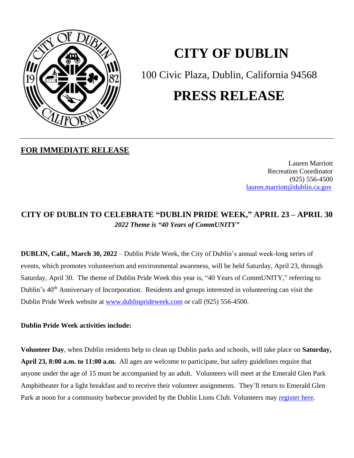

# **CITY OF DUBLIN**

100 Civic Plaza, Dublin, California 94568

## **PRESS RELEASE**

### **FOR IMMEDIATE RELEASE**

Lauren Marriott Recreation Coordinator (925) 556-4500 [lauren.marriott@dublin.ca.gov](file:///C:/Users/laurenm/AppData/Local/Microsoft/Windows/INetCache/Content.Outlook/312Q6F80/lauren.marriott@dublin.ca.gov)

## **CITY OF DUBLIN TO CELEBRATE "DUBLIN PRIDE WEEK, " APRIL 23 – APRIL 30** *2022 Theme is "40 Years of CommUNITY"*

**DUBLIN, Calif., March 30, 2022** – Dublin Pride Week, the City of Dublin's annual week-long series of events, which promotes volunteerism and environmental awareness, will be held Saturday, April 23, through Saturday, April 30. The theme of Dublin Pride Week this year is, "40 Years of CommUNITY," referring to Dublin's 40<sup>th</sup> Anniversary of Incorporation. Residents and groups interested in volunteering can visit the Dublin Pride Week website at [www.dublinprideweek.com](http://www.dublinprideweek.com/) or call (925) 556-4500.

#### **Dublin Pride Week activities include:**

**Volunteer Day**, when Dublin residents help to clean up Dublin parks and schools, will take place on **Saturday, April 23, 8:00 a.m. to 11:00 a.m.** All ages are welcome to participate, but safety guidelines require that anyone under the age of 15 must be accompanied by an adult. Volunteers will meet at the Emerald Glen Park Amphitheater for a light breakfast and to receive their volunteer assignments. They'll return to Emerald Glen Park at noon for a community barbecue provided by the Dublin Lions Club. Volunteers may [register here.](http://www.dublinprideweek.com/)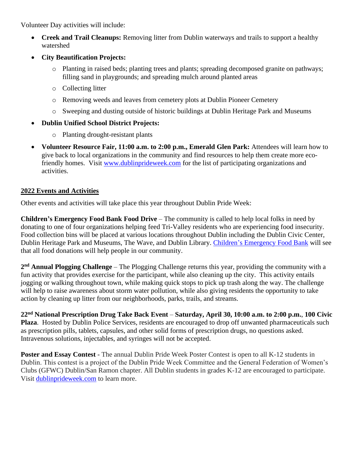Volunteer Day activities will include:

- **Creek and Trail Cleanups:** Removing litter from Dublin waterways and trails to support a healthy watershed
- **City Beautification Projects:**
	- o Planting in raised beds; planting trees and plants; spreading decomposed granite on pathways; filling sand in playgrounds; and spreading mulch around planted areas
	- o Collecting litter
	- o Removing weeds and leaves from cemetery plots at Dublin Pioneer Cemetery
	- o Sweeping and dusting outside of historic buildings at Dublin Heritage Park and Museums
- **Dublin Unified School District Projects:**
	- o Planting drought-resistant plants
- **Volunteer Resource Fair, 11:00 a.m. to 2:00 p.m., Emerald Glen Park:** Attendees will learn how to give back to local organizations in the community and find resources to help them create more ecofriendly homes. Visit [www.dublinprideweek.com](http://www.dublinprideweek.com/) for the list of participating organizations and activities.

#### **2022 Events and Activities**

Other events and activities will take place this year throughout Dublin Pride Week:

**Children's Emergency Food Bank Food Drive** – The community is called to help local folks in need by donating to one of four organizations helping feed Tri-Valley residents who are experiencing food insecurity. Food collection bins will be placed at various locations throughout Dublin including the Dublin Civic Center, Dublin Heritage Park and Museums, The Wave, and Dublin Library. [Children's Emergency Food Bank](https://www.childrensemergencyfoodbank.org/donate.html) will see that all food donations will help people in our community.

2<sup>nd</sup> Annual Plogging Challenge – The Plogging Challenge returns this year, providing the community with a fun activity that provides exercise for the participant, while also cleaning up the city. This activity entails jogging or walking throughout town, while making quick stops to pick up trash along the way. The challenge will help to raise awareness about storm water pollution, while also giving residents the opportunity to take action by cleaning up litter from our neighborhoods, parks, trails, and streams.

**22 nd National Prescription Drug Take Back Event** – **Saturday, April 30, 10:00 a.m. to 2:00 p.m.**, **100 Civic Plaza**. Hosted by Dublin Police Services, residents are encouraged to drop off unwanted pharmaceuticals such as prescription pills, tablets, capsules, and other solid forms of prescription drugs, no questions asked. Intravenous solutions, injectables, and syringes will not be accepted.

Poster and Essay Contest - The annual Dublin Pride Week Poster Contest is open to all K-12 students in Dublin. This contest is a project of the Dublin Pride Week Committee and the General Federation of Women's Clubs (GFWC) Dublin/San Ramon chapter. All Dublin students in grades K-12 are encouraged to participate. Visit [dublinprideweek.com](https://dublin.ca.gov/2101/Poster-and-Essay-Contest) to learn more.